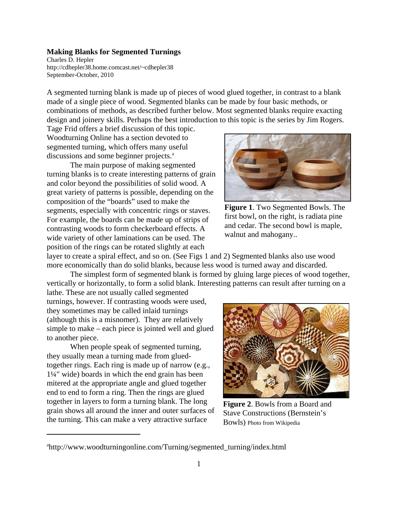Charles D. Hepler http://cdhepler38.home.comcast.net/~cdhepler38 September-October, 2010

A segmented turning blank is made up of pieces of wood glued together, in contrast to a blank made of a single piece of wood. Segmented blanks can be made by four basic methods, or combinations of methods, as described further below. Most segmented blanks require exacting design and joinery skills. Perhaps the best introduction to this topic is the series by Jim Rogers.

Tage Frid offers a brief discussion of this topic. Woodturning Online has a section devoted to segmented turning, which offers many useful discussions and some beginner projects.<sup>a</sup>

The main purpose of making segmented turning blanks is to create interesting patterns of grain and color beyond the possibilities of solid wood. A great variety of patterns is possible, depending on the composition of the "boards" used to make the segments, especially with concentric rings or staves. For example, the boards can be made up of strips of contrasting woods to form checkerboard effects. A wide variety of other laminations can be used. The position of the rings can be rotated slightly at each



**Figure 1**. Two Segmented Bowls. The first bowl, on the right, is radiata pine and cedar. The second bowl is maple, walnut and mahogany..

layer to create a spiral effect, and so on. (See Figs 1 and 2) Segmented blanks also use wood more economically than do solid blanks, because less wood is turned away and discarded.

The simplest form of segmented blank is formed by gluing large pieces of wood together, vertically or horizontally, to form a solid blank. Interesting patterns can result after turning on a

lathe. These are not usually called segmented turnings, however. If contrasting woods were used, they sometimes may be called inlaid turnings (although this is a misnomer). They are relatively simple to make – each piece is jointed well and glued to another piece.

When people speak of segmented turning, they usually mean a turning made from gluedtogether rings. Each ring is made up of narrow (e.g., 1¼" wide) boards in which the end grain has been mitered at the appropriate angle and glued together end to end to form a ring. Then the rings are glued together in layers to form a turning blank. The long grain shows all around the inner and outer surfaces of the turning. This can make a very attractive surface



**Figure 2**. Bowls from a Board and Stave Constructions (Bernstein's Bowls) Photo from Wikipedia

a http://www.woodturningonline.com/Turning/segmented\_turning/index.html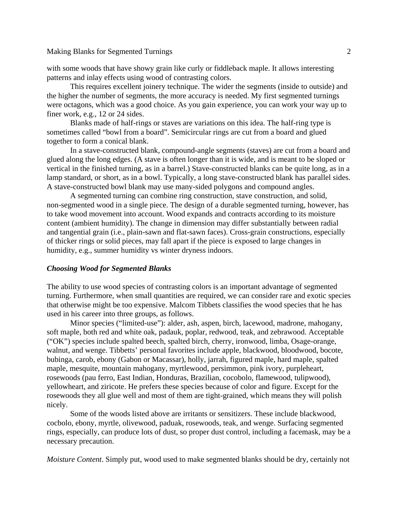with some woods that have showy grain like curly or fiddleback maple. It allows interesting patterns and inlay effects using wood of contrasting colors.

This requires excellent joinery technique. The wider the segments (inside to outside) and the higher the number of segments, the more accuracy is needed. My first segmented turnings were octagons, which was a good choice. As you gain experience, you can work your way up to finer work, e.g., 12 or 24 sides.

Blanks made of half-rings or staves are variations on this idea. The half-ring type is sometimes called "bowl from a board". Semicircular rings are cut from a board and glued together to form a conical blank.

In a stave-constructed blank, compound-angle segments (staves) are cut from a board and glued along the long edges. (A stave is often longer than it is wide, and is meant to be sloped or vertical in the finished turning, as in a barrel.) Stave-constructed blanks can be quite long, as in a lamp standard, or short, as in a bowl. Typically, a long stave-constructed blank has parallel sides. A stave-constructed bowl blank may use many-sided polygons and compound angles.

A segmented turning can combine ring construction, stave construction, and solid, non-segmented wood in a single piece. The design of a durable segmented turning, however, has to take wood movement into account. Wood expands and contracts according to its moisture content (ambient humidity). The change in dimension may differ substantially between radial and tangential grain (i.e., plain-sawn and flat-sawn faces). Cross-grain constructions, especially of thicker rings or solid pieces, may fall apart if the piece is exposed to large changes in humidity, e.g., summer humidity vs winter dryness indoors.

#### *Choosing Wood for Segmented Blanks*

The ability to use wood species of contrasting colors is an important advantage of segmented turning. Furthermore, when small quantities are required, we can consider rare and exotic species that otherwise might be too expensive. Malcom Tibbets classifies the wood species that he has used in his career into three groups, as follows.

Minor species ("limited-use"): alder, ash, aspen, birch, lacewood, madrone, mahogany, soft maple, both red and white oak, padauk, poplar, redwood, teak, and zebrawood. Acceptable ("OK") species include spalted beech, spalted birch, cherry, ironwood, limba, Osage-orange, walnut, and wenge. Tibbetts' personal favorites include apple, blackwood, bloodwood, bocote, bubinga, carob, ebony (Gabon or Macassar), holly, jarrah, figured maple, hard maple, spalted maple, mesquite, mountain mahogany, myrtlewood, persimmon, pink ivory, purpleheart, rosewoods (pau ferro, East Indian, Honduras, Brazilian, cocobolo, flamewood, tulipwood), yellowheart, and ziricote. He prefers these species because of color and figure. Except for the rosewoods they all glue well and most of them are tight-grained, which means they will polish nicely.

Some of the woods listed above are irritants or sensitizers. These include blackwood, cocbolo, ebony, myrtle, olivewood, paduak, rosewoods, teak, and wenge. Surfacing segmented rings, especially, can produce lots of dust, so proper dust control, including a facemask, may be a necessary precaution.

*Moisture Content*. Simply put, wood used to make segmented blanks should be dry, certainly not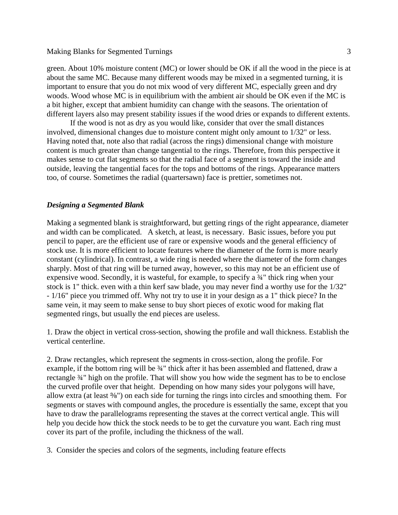green. About 10% moisture content (MC) or lower should be OK if all the wood in the piece is at about the same MC. Because many different woods may be mixed in a segmented turning, it is important to ensure that you do not mix wood of very different MC, especially green and dry woods. Wood whose MC is in equilibrium with the ambient air should be OK even if the MC is a bit higher, except that ambient humidity can change with the seasons. The orientation of different layers also may present stability issues if the wood dries or expands to different extents.

If the wood is not as dry as you would like, consider that over the small distances involved, dimensional changes due to moisture content might only amount to 1/32" or less. Having noted that, note also that radial (across the rings) dimensional change with moisture content is much greater than change tangential to the rings. Therefore, from this perspective it makes sense to cut flat segments so that the radial face of a segment is toward the inside and outside, leaving the tangential faces for the tops and bottoms of the rings. Appearance matters too, of course. Sometimes the radial (quartersawn) face is prettier, sometimes not.

### *Designing a Segmented Blank*

Making a segmented blank is straightforward, but getting rings of the right appearance, diameter and width can be complicated. A sketch, at least, is necessary. Basic issues, before you put pencil to paper, are the efficient use of rare or expensive woods and the general efficiency of stock use. It is more efficient to locate features where the diameter of the form is more nearly constant (cylindrical). In contrast, a wide ring is needed where the diameter of the form changes sharply. Most of that ring will be turned away, however, so this may not be an efficient use of expensive wood. Secondly, it is wasteful, for example, to specify a ¾" thick ring when your stock is 1" thick. even with a thin kerf saw blade, you may never find a worthy use for the 1/32" - 1/16" piece you trimmed off. Why not try to use it in your design as a 1" thick piece? In the same vein, it may seem to make sense to buy short pieces of exotic wood for making flat segmented rings, but usually the end pieces are useless.

1. Draw the object in vertical cross-section, showing the profile and wall thickness. Establish the vertical centerline.

2. Draw rectangles, which represent the segments in cross-section, along the profile. For example, if the bottom ring will be  $\frac{3}{4}$ " thick after it has been assembled and flattened, draw a rectangle ¾" high on the profile. That will show you how wide the segment has to be to enclose the curved profile over that height. Depending on how many sides your polygons will have, allow extra (at least  $\frac{3}{8}$ ") on each side for turning the rings into circles and smoothing them. For segments or staves with compound angles, the procedure is essentially the same, except that you have to draw the parallelograms representing the staves at the correct vertical angle. This will help you decide how thick the stock needs to be to get the curvature you want. Each ring must cover its part of the profile, including the thickness of the wall.

3. Consider the species and colors of the segments, including feature effects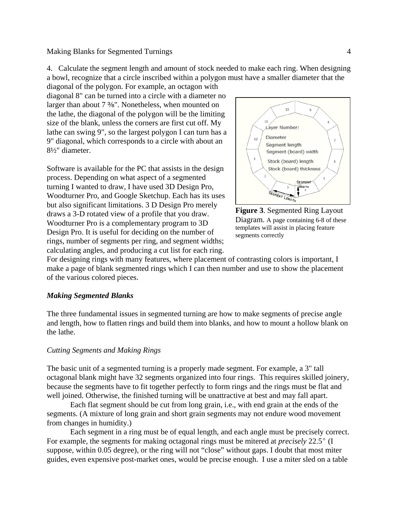$10$  $11$ Layer Number: Diameter Seament length Segment (board) width Stock (board) length 6

Software is available for the PC that assists in the design process. Depending on what aspect of a segmented turning I wanted to draw, I have used 3D Design Pro, Woodturner Pro, and Google Sketchup. Each has its uses but also significant limitations. 3 D Design Pro merely draws a 3-D rotated view of a profile that you draw. Woodturner Pro is a complementary program to 3D Design Pro. It is useful for deciding on the number of rings, number of segments per ring, and segment widths; calculating angles, and producing a cut list for each ring.

diagonal of the polygon. For example, an octagon with diagonal 8" can be turned into a circle with a diameter no larger than about  $7\frac{3}{8}$ ". Nonetheless, when mounted on the lathe, the diagonal of the polygon will be the limiting size of the blank, unless the corners are first cut off. My lathe can swing 9", so the largest polygon I can turn has a 9" diagonal, which corresponds to a circle with about an



**Figure 3**. Segmented Ring Layout Diagram. A page containing 6-8 of these templates will assist in placing feature segments correctly

For designing rings with many features, where placement of contrasting colors is important, I make a page of blank segmented rings which I can then number and use to show the placement of the various colored pieces.

4. Calculate the segment length and amount of stock needed to make each ring. When designing a bowl, recognize that a circle inscribed within a polygon must have a smaller diameter that the

## *Making Segmented Blanks*

8½" diameter.

The three fundamental issues in segmented turning are how to make segments of precise angle and length, how to flatten rings and build them into blanks, and how to mount a hollow blank on the lathe.

# *Cutting Segments and Making Rings*

The basic unit of a segmented turning is a properly made segment. For example, a 3" tall octagonal blank might have 32 segments organized into four rings. This requires skilled joinery, because the segments have to fit together perfectly to form rings and the rings must be flat and well joined. Otherwise, the finished turning will be unattractive at best and may fall apart.

Each flat segment should be cut from long grain, i.e., with end grain at the ends of the segments. (A mixture of long grain and short grain segments may not endure wood movement from changes in humidity.)

Each segment in a ring must be of equal length, and each angle must be precisely correct. For example, the segments for making octagonal rings must be mitered at *precisely* 22.5<sup>o</sup> (I suppose, within 0.05 degree), or the ring will not "close" without gaps. I doubt that most miter guides, even expensive post-market ones, would be precise enough. I use a miter sled on a table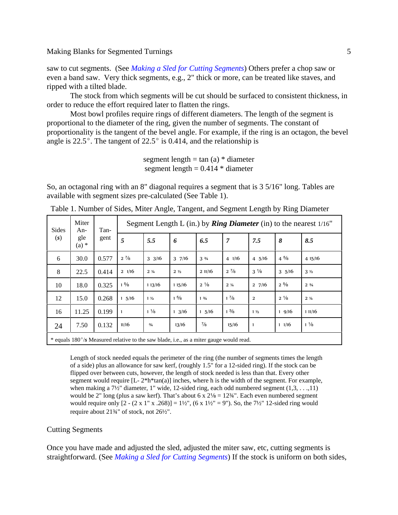saw to cut segments. (See *Making a Sled for Cutting Segments*) Others prefer a chop saw or even a band saw. Very thick segments, e.g., 2" thick or more, can be treated like staves, and ripped with a tilted blade.

The stock from which segments will be cut should be surfaced to consistent thickness, in order to reduce the effort required later to flatten the rings.

Most bowl profiles require rings of different diameters. The length of the segment is proportional to the diameter of the ring, given the number of segments. The constant of proportionality is the tangent of the bevel angle. For example, if the ring is an octagon, the bevel angle is 22.5 $^{\circ}$ . The tangent of 22.5 $^{\circ}$  is 0.414, and the relationship is

> segment length  $=$  tan (a)  $*$  diameter segment length  $= 0.414 *$  diameter

So, an octagonal ring with an 8" diagonal requires a segment that is 3 5/16" long. Tables are available with segment sizes pre-calculated (See Table 1).

| Sides<br>$\left( s\right)$                                                             | Miter<br>An-<br>gle<br>$(a)$ * | Tan-<br>gent | Segment Length L (in.) by <b>Ring Diameter</b> (in) to the nearest $1/16$ " |                  |                  |                  |                |                  |                  |                 |
|----------------------------------------------------------------------------------------|--------------------------------|--------------|-----------------------------------------------------------------------------|------------------|------------------|------------------|----------------|------------------|------------------|-----------------|
|                                                                                        |                                |              | 5                                                                           | 5.5              | 6                | 6.5              | $\overline{7}$ | 7.5              | 8                | 8.5             |
| 6                                                                                      | 30.0                           | 0.577        | $2\frac{7}{8}$                                                              | $3 \frac{3}{16}$ | $3 \frac{7}{16}$ | $3\frac{3}{4}$   | 41/16          | $4\frac{5}{16}$  | $4\frac{5}{8}$   | 4 15/16         |
| 8                                                                                      | 22.5                           | 0.414        | $2 \frac{1}{16}$                                                            | $2\frac{1}{4}$   | 2 <sub>2</sub>   | 211/16           | $2\frac{7}{8}$ | $3\frac{1}{8}$   | $3 \frac{5}{16}$ | 3 <sub>2</sub>  |
| 10                                                                                     | 18.0                           | 0.325        | $1\frac{5}{8}$                                                              | 113/16           | 115/16           | $2\frac{1}{8}$   | $2\frac{1}{4}$ | $2 \frac{7}{16}$ | $2^{5/8}$        | $2 \frac{3}{4}$ |
| 12                                                                                     | 15.0                           | 0.268        | $1\frac{5}{16}$                                                             | $1\frac{1}{2}$   | $1\frac{5}{8}$   | $1 \frac{3}{4}$  | $1\frac{7}{8}$ | $\overline{a}$   | $2\frac{1}{8}$   | $2\frac{1}{4}$  |
| 16                                                                                     | 11.25                          | 0.199        | $\mathbf{1}$                                                                | $1\frac{1}{8}$   | $1 \frac{3}{16}$ | $1 \frac{5}{16}$ | $1\frac{3}{8}$ | 1 <sub>2</sub>   | 19/16            | 11/16           |
| 24                                                                                     | 7.50                           | 0.132        | 11/16                                                                       | $^{3/4}$         | 13/16            | $\frac{7}{8}$    | 15/16          | 1                | 11/16            | $1\frac{1}{8}$  |
| * equals 180°/s Measured relative to the saw blade, i.e., as a miter gauge would read. |                                |              |                                                                             |                  |                  |                  |                |                  |                  |                 |

Table 1. Number of Sides, Miter Angle, Tangent, and Segment Length by Ring Diameter

Length of stock needed equals the perimeter of the ring (the number of segments times the length of a side) plus an allowance for saw kerf, (roughly 1.5" for a 12-sided ring). If the stock can be flipped over between cuts, however, the length of stock needed is less than that. Every other segment would require  $[L-2^*h^*tan(a)]$  inches, where h is the width of the segment. For example, when making a  $7\frac{1}{2}$ " diameter, 1" wide, 12-sided ring, each odd numbered segment  $(1,3,\ldots,11)$ would be 2" long (plus a saw kerf). That's about 6 x  $2\frac{1}{8} = 12\frac{3}{4}$ ". Each even numbered segment would require only  $[2 - (2 \times 1" \times .268)] = 1\frac{1}{2}"$ ,  $(6 \times 1\frac{1}{2} = 9")$ . So, the  $7\frac{1}{2}$  12-sided ring would require about 21¾" of stock, not 26½".

#### Cutting Segments

Once you have made and adjusted the sled, adjusted the miter saw, etc, cutting segments is straightforward. (See *Making a Sled for Cutting Segments*) If the stock is uniform on both sides,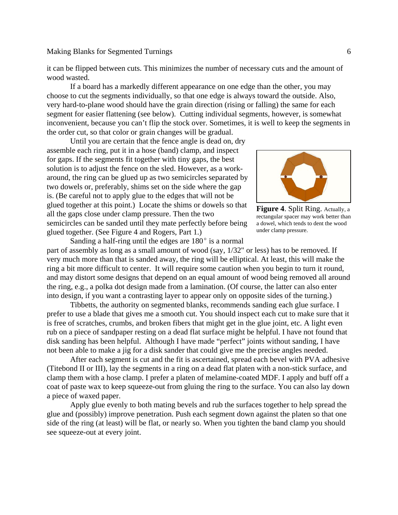it can be flipped between cuts. This minimizes the number of necessary cuts and the amount of wood wasted.

If a board has a markedly different appearance on one edge than the other, you may choose to cut the segments individually, so that one edge is always toward the outside. Also, very hard-to-plane wood should have the grain direction (rising or falling) the same for each segment for easier flattening (see below). Cutting individual segments, however, is somewhat inconvenient, because you can't flip the stock over. Sometimes, it is well to keep the segments in the order cut, so that color or grain changes will be gradual.

Until you are certain that the fence angle is dead on, dry assemble each ring, put it in a hose (band) clamp, and inspect for gaps. If the segments fit together with tiny gaps, the best solution is to adjust the fence on the sled. However, as a workaround, the ring can be glued up as two semicircles separated by two dowels or, preferably, shims set on the side where the gap is. (Be careful not to apply glue to the edges that will not be glued together at this point.) Locate the shims or dowels so that all the gaps close under clamp pressure. Then the two semicircles can be sanded until they mate perfectly before being glued together. (See Figure 4 and Rogers, Part 1.)



**Figure 4**. Split Ring. Actually, a rectangular spacer may work better than a dowel, which tends to dent the wood under clamp pressure.

Sanding a half-ring until the edges are  $180^{\circ}$  is a normal part of assembly as long as a small amount of wood (say, 1/32" or less) has to be removed. If very much more than that is sanded away, the ring will be elliptical. At least, this will make the ring a bit more difficult to center. It will require some caution when you begin to turn it round, and may distort some designs that depend on an equal amount of wood being removed all around the ring, e.g., a polka dot design made from a lamination. (Of course, the latter can also enter into design, if you want a contrasting layer to appear only on opposite sides of the turning.)

Tibbetts, the authority on segmented blanks, recommends sanding each glue surface. I prefer to use a blade that gives me a smooth cut. You should inspect each cut to make sure that it is free of scratches, crumbs, and broken fibers that might get in the glue joint, etc. A light even rub on a piece of sandpaper resting on a dead flat surface might be helpful. I have not found that disk sanding has been helpful. Although I have made "perfect" joints without sanding, I have not been able to make a jig for a disk sander that could give me the precise angles needed.

After each segment is cut and the fit is ascertained, spread each bevel with PVA adhesive (Titebond II or III), lay the segments in a ring on a dead flat platen with a non-stick surface, and clamp them with a hose clamp. I prefer a platen of melamine-coated MDF. I apply and buff off a coat of paste wax to keep squeeze-out from gluing the ring to the surface. You can also lay down a piece of waxed paper.

Apply glue evenly to both mating bevels and rub the surfaces together to help spread the glue and (possibly) improve penetration. Push each segment down against the platen so that one side of the ring (at least) will be flat, or nearly so. When you tighten the band clamp you should see squeeze-out at every joint.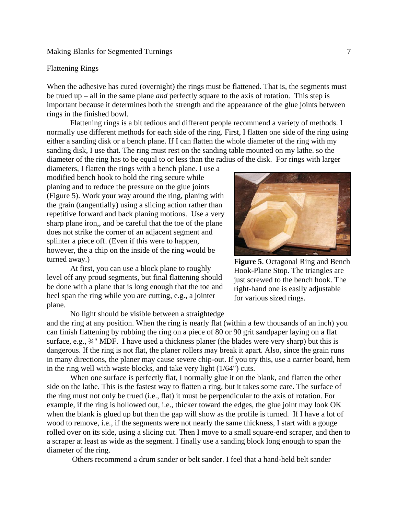#### Flattening Rings

When the adhesive has cured (overnight) the rings must be flattened. That is, the segments must be trued up – all in the same plane *and* perfectly square to the axis of rotation. This step is important because it determines both the strength and the appearance of the glue joints between rings in the finished bowl.

Flattening rings is a bit tedious and different people recommend a variety of methods. I normally use different methods for each side of the ring. First, I flatten one side of the ring using either a sanding disk or a bench plane. If I can flatten the whole diameter of the ring with my sanding disk, I use that. The ring must rest on the sanding table mounted on my lathe. so the diameter of the ring has to be equal to or less than the radius of the disk. For rings with larger

diameters, I flatten the rings with a bench plane. I use a modified bench hook to hold the ring secure while planing and to reduce the pressure on the glue joints (Figure 5). Work your way around the ring, planing with the grain (tangentially) using a slicing action rather than repetitive forward and back planing motions. Use a very sharp plane iron,, and be careful that the toe of the plane does not strike the corner of an adjacent segment and splinter a piece off. (Even if this were to happen, however, the a chip on the inside of the ring would be turned away.)

At first, you can use a block plane to roughly level off any proud segments, but final flattening should be done with a plane that is long enough that the toe and heel span the ring while you are cutting, e.g., a jointer plane.

No light should be visible between a straightedge and the ring at any position. When the ring is nearly flat (within a few thousands of an inch) you can finish flattening by rubbing the ring on a piece of 80 or 90 grit sandpaper laying on a flat surface, e.g.,  $\frac{3}{4}$ " MDF. I have used a thickness planer (the blades were very sharp) but this is dangerous. If the ring is not flat, the planer rollers may break it apart. Also, since the grain runs in many directions, the planer may cause severe chip-out. If you try this, use a carrier board, hem in the ring well with waste blocks, and take very light (1/64") cuts.

When one surface is perfectly flat, I normally glue it on the blank, and flatten the other side on the lathe. This is the fastest way to flatten a ring, but it takes some care. The surface of the ring must not only be trued (i.e., flat) it must be perpendicular to the axis of rotation. For example, if the ring is hollowed out, i.e., thicker toward the edges, the glue joint may look OK when the blank is glued up but then the gap will show as the profile is turned. If I have a lot of wood to remove, i.e., if the segments were not nearly the same thickness, I start with a gouge rolled over on its side, using a slicing cut. Then I move to a small square-end scraper, and then to a scraper at least as wide as the segment. I finally use a sanding block long enough to span the diameter of the ring.

Others recommend a drum sander or belt sander. I feel that a hand-held belt sander

**Figure 5**. Octagonal Ring and Bench Hook-Plane Stop. The triangles are just screwed to the bench hook. The right-hand one is easily adjustable for various sized rings.

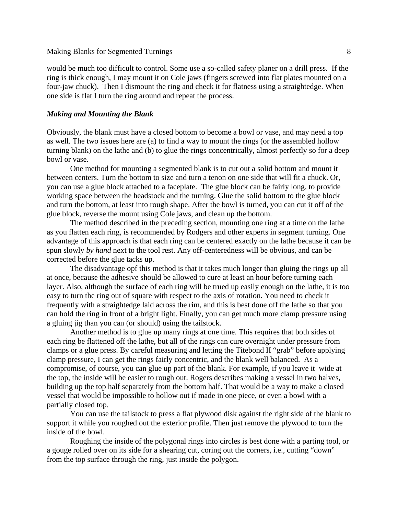would be much too difficult to control. Some use a so-called safety planer on a drill press. If the ring is thick enough, I may mount it on Cole jaws (fingers screwed into flat plates mounted on a four-jaw chuck). Then I dismount the ring and check it for flatness using a straightedge. When one side is flat I turn the ring around and repeat the process.

#### *Making and Mounting the Blank*

Obviously, the blank must have a closed bottom to become a bowl or vase, and may need a top as well. The two issues here are (a) to find a way to mount the rings (or the assembled hollow turning blank) on the lathe and (b) to glue the rings concentrically, almost perfectly so for a deep bowl or vase.

One method for mounting a segmented blank is to cut out a solid bottom and mount it between centers. Turn the bottom to size and turn a tenon on one side that will fit a chuck. Or, you can use a glue block attached to a faceplate. The glue block can be fairly long, to provide working space between the headstock and the turning. Glue the solid bottom to the glue block and turn the bottom, at least into rough shape. After the bowl is turned, you can cut it off of the glue block, reverse the mount using Cole jaws, and clean up the bottom.

The method described in the preceding section, mounting one ring at a time on the lathe as you flatten each ring, is recommended by Rodgers and other experts in segment turning. One advantage of this approach is that each ring can be centered exactly on the lathe because it can be spun slowly *by hand* next to the tool rest. Any off-centeredness will be obvious, and can be corrected before the glue tacks up.

The disadvantage opf this method is that it takes much longer than gluing the rings up all at once, because the adhesive should be allowed to cure at least an hour before turning each layer. Also, although the surface of each ring will be trued up easily enough on the lathe, it is too easy to turn the ring out of square with respect to the axis of rotation. You need to check it frequently with a straightedge laid across the rim, and this is best done off the lathe so that you can hold the ring in front of a bright light. Finally, you can get much more clamp pressure using a gluing jig than you can (or should) using the tailstock.

Another method is to glue up many rings at one time. This requires that both sides of each ring be flattened off the lathe, but all of the rings can cure overnight under pressure from clamps or a glue press. By careful measuring and letting the Titebond II "grab" before applying clamp pressure, I can get the rings fairly concentric, and the blank well balanced. As a compromise, of course, you can glue up part of the blank. For example, if you leave it wide at the top, the inside will be easier to rough out. Rogers describes making a vessel in two halves, building up the top half separately from the bottom half. That would be a way to make a closed vessel that would be impossible to hollow out if made in one piece, or even a bowl with a partially closed top.

You can use the tailstock to press a flat plywood disk against the right side of the blank to support it while you roughed out the exterior profile. Then just remove the plywood to turn the inside of the bowl.

Roughing the inside of the polygonal rings into circles is best done with a parting tool, or a gouge rolled over on its side for a shearing cut, coring out the corners, i.e., cutting "down" from the top surface through the ring, just inside the polygon.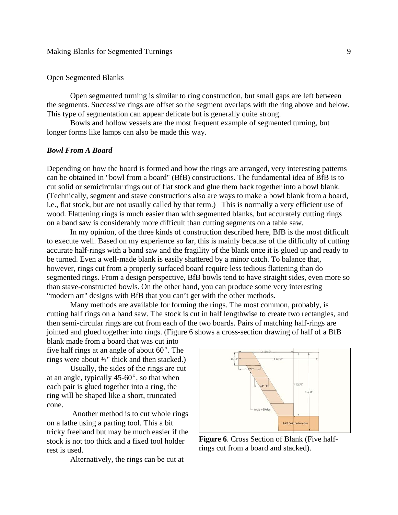## Open Segmented Blanks

Open segmented turning is similar to ring construction, but small gaps are left between the segments. Successive rings are offset so the segment overlaps with the ring above and below. This type of segmentation can appear delicate but is generally quite strong.

Bowls and hollow vessels are the most frequent example of segmented turning, but longer forms like lamps can also be made this way.

#### *Bowl From A Board*

Depending on how the board is formed and how the rings are arranged, very interesting patterns can be obtained in "bowl from a board" (BfB) constructions. The fundamental idea of BfB is to cut solid or semicircular rings out of flat stock and glue them back together into a bowl blank. (Technically, segment and stave constructions also are ways to make a bowl blank from a board, i.e., flat stock, but are not usually called by that term.) This is normally a very efficient use of wood. Flattening rings is much easier than with segmented blanks, but accurately cutting rings on a band saw is considerably more difficult than cutting segments on a table saw.

In my opinion, of the three kinds of construction described here, BfB is the most difficult to execute well. Based on my experience so far, this is mainly because of the difficulty of cutting accurate half-rings with a band saw and the fragility of the blank once it is glued up and ready to be turned. Even a well-made blank is easily shattered by a minor catch. To balance that, however, rings cut from a properly surfaced board require less tedious flattening than do segmented rings. From a design perspective, BfB bowls tend to have straight sides, even more so than stave-constructed bowls. On the other hand, you can produce some very interesting "modern art" designs with BfB that you can't get with the other methods.

Many methods are available for forming the rings. The most common, probably, is cutting half rings on a band saw. The stock is cut in half lengthwise to create two rectangles, and then semi-circular rings are cut from each of the two boards. Pairs of matching half-rings are jointed and glued together into rings. (Figure 6 shows a cross-section drawing of half of a BfB

blank made from a board that was cut into five half rings at an angle of about  $60^\circ$ . The rings were about ¾" thick and then stacked.)

Usually, the sides of the rings are cut at an angle, typically  $45-60^{\circ}$ , so that when each pair is glued together into a ring, the ring will be shaped like a short, truncated cone.

 Another method is to cut whole rings on a lathe using a parting tool. This a bit tricky freehand but may be much easier if the stock is not too thick and a fixed tool holder rest is used.

Alternatively, the rings can be cut at



**Figure 6**. Cross Section of Blank (Five halfrings cut from a board and stacked).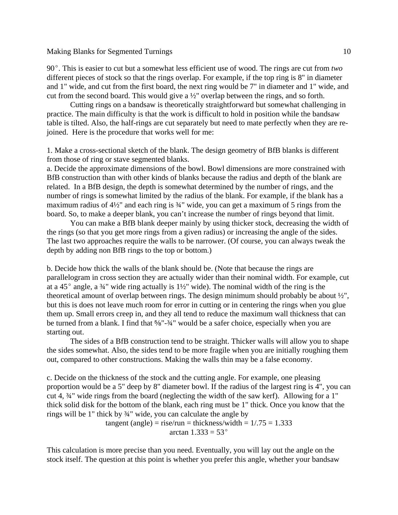90E. This is easier to cut but a somewhat less efficient use of wood. The rings are cut from *two* different pieces of stock so that the rings overlap. For example, if the top ring is 8" in diameter and 1" wide, and cut from the first board, the next ring would be 7" in diameter and 1" wide, and cut from the second board. This would give a ½" overlap between the rings, and so forth.

Cutting rings on a bandsaw is theoretically straightforward but somewhat challenging in practice. The main difficulty is that the work is difficult to hold in position while the bandsaw table is tilted. Also, the half-rings are cut separately but need to mate perfectly when they are rejoined. Here is the procedure that works well for me:

1. Make a cross-sectional sketch of the blank. The design geometry of BfB blanks is different from those of ring or stave segmented blanks.

a. Decide the approximate dimensions of the bowl. Bowl dimensions are more constrained with BfB construction than with other kinds of blanks because the radius and depth of the blank are related. In a BfB design, the depth is somewhat determined by the number of rings, and the number of rings is somewhat limited by the radius of the blank. For example, if the blank has a maximum radius of  $4\frac{1}{2}$ " and each ring is  $\frac{3}{4}$ " wide, you can get a maximum of 5 rings from the board. So, to make a deeper blank, you can't increase the number of rings beyond that limit.

You can make a BfB blank deeper mainly by using thicker stock, decreasing the width of the rings (so that you get more rings from a given radius) or increasing the angle of the sides. The last two approaches require the walls to be narrower. (Of course, you can always tweak the depth by adding non BfB rings to the top or bottom.)

b. Decide how thick the walls of the blank should be. (Note that because the rings are parallelogram in cross section they are actually wider than their nominal width. For example, cut at a 45 $^{\circ}$  angle, a  $\frac{3}{4}$ " wide ring actually is 1½" wide). The nominal width of the ring is the theoretical amount of overlap between rings. The design minimum should probably be about ½", but this is does not leave much room for error in cutting or in centering the rings when you glue them up. Small errors creep in, and they all tend to reduce the maximum wall thickness that can be turned from a blank. I find that  $\frac{5}{8}$ "- $\frac{3}{4}$ " would be a safer choice, especially when you are starting out.

The sides of a BfB construction tend to be straight. Thicker walls will allow you to shape the sides somewhat. Also, the sides tend to be more fragile when you are initially roughing them out, compared to other constructions. Making the walls thin may be a false economy.

c. Decide on the thickness of the stock and the cutting angle. For example, one pleasing proportion would be a 5" deep by 8" diameter bowl. If the radius of the largest ring is 4", you can cut 4, ¾" wide rings from the board (neglecting the width of the saw kerf). Allowing for a 1" thick solid disk for the bottom of the blank, each ring must be 1" thick. Once you know that the rings will be 1" thick by ¾" wide, you can calculate the angle by

> tangent (angle) = rise/run = thickness/width =  $1/0.75 = 1.333$ arctan  $1.333 = 53^{\circ}$

This calculation is more precise than you need. Eventually, you will lay out the angle on the stock itself. The question at this point is whether you prefer this angle, whether your bandsaw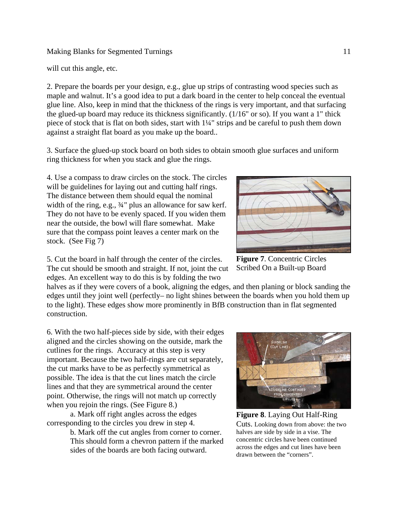will cut this angle, etc.

2. Prepare the boards per your design, e.g., glue up strips of contrasting wood species such as maple and walnut. It's a good idea to put a dark board in the center to help conceal the eventual glue line. Also, keep in mind that the thickness of the rings is very important, and that surfacing the glued-up board may reduce its thickness significantly. (1/16" or so). If you want a 1" thick piece of stock that is flat on both sides, start with 1¼" strips and be careful to push them down against a straight flat board as you make up the board..

3. Surface the glued-up stock board on both sides to obtain smooth glue surfaces and uniform ring thickness for when you stack and glue the rings.

4. Use a compass to draw circles on the stock. The circles will be guidelines for laying out and cutting half rings. The distance between them should equal the nominal width of the ring, e.g., 34" plus an allowance for saw kerf. They do not have to be evenly spaced. If you widen them near the outside, the bowl will flare somewhat. Make sure that the compass point leaves a center mark on the stock. (See Fig 7)



**Figure 7**. Concentric Circles Scribed On a Built-up Board

5. Cut the board in half through the center of the circles. The cut should be smooth and straight. If not, joint the cut edges. An excellent way to do this is by folding the two

halves as if they were covers of a book, aligning the edges, and then planing or block sanding the edges until they joint well (perfectly– no light shines between the boards when you hold them up to the light). These edges show more prominently in BfB construction than in flat segmented construction.

6. With the two half-pieces side by side, with their edges aligned and the circles showing on the outside, mark the cutlines for the rings. Accuracy at this step is very important. Because the two half-rings are cut separately, the cut marks have to be as perfectly symmetrical as possible. The idea is that the cut lines match the circle lines and that they are symmetrical around the center point. Otherwise, the rings will not match up correctly when you rejoin the rings. (See Figure 8.)

a. Mark off right angles across the edges corresponding to the circles you drew in step 4.

> b. Mark off the cut angles from corner to corner. This should form a chevron pattern if the marked sides of the boards are both facing outward.



**Figure 8**. Laying Out Half-Ring Cuts. Looking down from above: the two halves are side by side in a vise. The concentric circles have been continued across the edges and cut lines have been drawn between the "corners".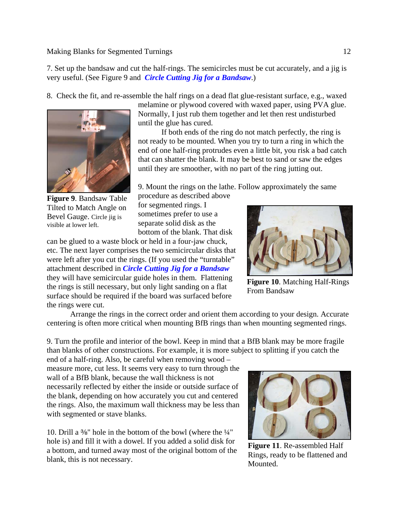7. Set up the bandsaw and cut the half-rings. The semicircles must be cut accurately, and a jig is very useful. (See Figure 9 and *Circle Cutting Jig for a Bandsaw*.)

8. Check the fit, and re-assemble the half rings on a dead flat glue-resistant surface, e.g., waxed



**Figure 9**. Bandsaw Table Tilted to Match Angle on Bevel Gauge. Circle jig is visible at lower left.

melamine or plywood covered with waxed paper, using PVA glue. Normally, I just rub them together and let then rest undisturbed until the glue has cured.

If both ends of the ring do not match perfectly, the ring is not ready to be mounted. When you try to turn a ring in which the end of one half-ring protrudes even a little bit, you risk a bad catch that can shatter the blank. It may be best to sand or saw the edges until they are smoother, with no part of the ring jutting out.

9. Mount the rings on the lathe. Follow approximately the same

procedure as described above for segmented rings. I sometimes prefer to use a separate solid disk as the bottom of the blank. That disk

can be glued to a waste block or held in a four-jaw chuck, etc. The next layer comprises the two semicircular disks that were left after you cut the rings. (If you used the "turntable" attachment described in *Circle Cutting Jig for a Bandsaw* they will have semicircular guide holes in them. Flattening the rings is still necessary, but only light sanding on a flat surface should be required if the board was surfaced before the rings were cut.



**Figure 10**. Matching Half-Rings From Bandsaw

Arrange the rings in the correct order and orient them according to your design. Accurate centering is often more critical when mounting BfB rings than when mounting segmented rings.

9. Turn the profile and interior of the bowl. Keep in mind that a BfB blank may be more fragile than blanks of other constructions. For example, it is more subject to splitting if you catch the

end of a half-ring. Also, be careful when removing wood – measure more, cut less. It seems very easy to turn through the wall of a BfB blank, because the wall thickness is not necessarily reflected by either the inside or outside surface of the blank, depending on how accurately you cut and centered the rings. Also, the maximum wall thickness may be less than with segmented or stave blanks.

10. Drill a %" hole in the bottom of the bowl (where the  $\frac{1}{4}$ " hole is) and fill it with a dowel. If you added a solid disk for a bottom, and turned away most of the original bottom of the blank, this is not necessary.



**Figure 11**. Re-assembled Half Rings, ready to be flattened and Mounted.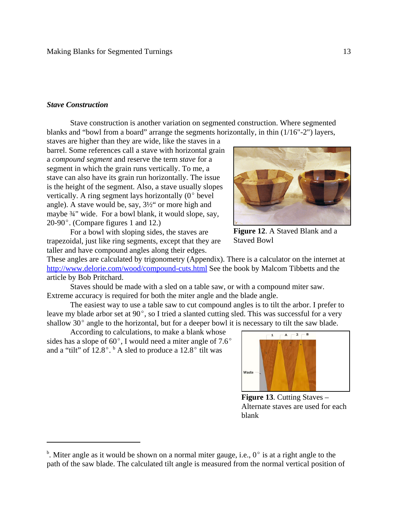#### *Stave Construction*

Stave construction is another variation on segmented construction. Where segmented blanks and "bowl from a board" arrange the segments horizontally, in thin (1/16"-2") layers,

staves are higher than they are wide, like the staves in a barrel. Some references call a stave with horizontal grain a *compound segment* and reserve the term *stave* for a segment in which the grain runs vertically. To me, a stave can also have its grain run horizontally. The issue is the height of the segment. Also, a stave usually slopes vertically. A ring segment lays horizontally  $(0^{\circ}$  bevel angle). A stave would be, say, 3½" or more high and maybe ¾" wide. For a bowl blank, it would slope, say, 20-90 $^{\circ}$ . (Compare figures 1 and 12.)

For a bowl with sloping sides, the staves are trapezoidal, just like ring segments, except that they are taller and have compound angles along their edges.

These angles are calculated by trigonometry (Appendix). There is a calculator on the internet at http://www.delorie.com/wood/compound-cuts.html See the book by Malcom Tibbetts and the article by Bob Pritchard.

Staves should be made with a sled on a table saw, or with a compound miter saw. Extreme accuracy is required for both the miter angle and the blade angle.

The easiest way to use a table saw to cut compound angles is to tilt the arbor. I prefer to leave my blade arbor set at  $90^{\circ}$ , so I tried a slanted cutting sled. This was successful for a very shallow  $30^{\circ}$  angle to the horizontal, but for a deeper bowl it is necessary to tilt the saw blade.

According to calculations, to make a blank whose sides has a slope of  $60^{\circ}$ , I would need a miter angle of  $7.6^{\circ}$ and a "tilt" of  $12.8^{\circ}$ .  $^{\circ}$  A sled to produce a  $12.8^{\circ}$  tilt was



 $\overline{A}$ 

 $2 - B$ 

Alternate staves are used for each blank



<sup>&</sup>lt;sup>b</sup>. Miter angle as it would be shown on a normal miter gauge, i.e.,  $0^{\circ}$  is at a right angle to the path of the saw blade. The calculated tilt angle is measured from the normal vertical position of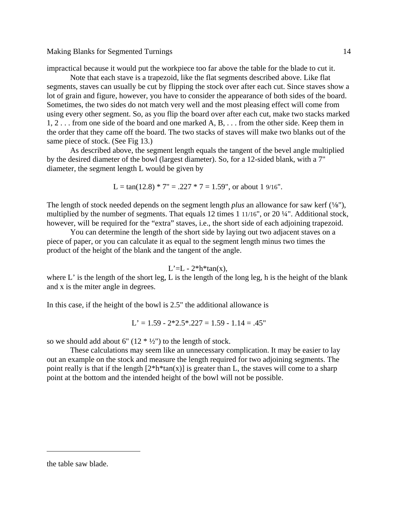impractical because it would put the workpiece too far above the table for the blade to cut it.

Note that each stave is a trapezoid, like the flat segments described above. Like flat segments, staves can usually be cut by flipping the stock over after each cut. Since staves show a lot of grain and figure, however, you have to consider the appearance of both sides of the board. Sometimes, the two sides do not match very well and the most pleasing effect will come from using every other segment. So, as you flip the board over after each cut, make two stacks marked 1, 2 . . . from one side of the board and one marked A, B, . . . from the other side. Keep them in the order that they came off the board. The two stacks of staves will make two blanks out of the same piece of stock. (See Fig 13.)

As described above, the segment length equals the tangent of the bevel angle multiplied by the desired diameter of the bowl (largest diameter). So, for a 12-sided blank, with a 7" diameter, the segment length L would be given by

$$
L = \tan(12.8) * 7" = .227 * 7 = 1.59", or about 19/16".
$$

The length of stock needed depends on the segment length *plus* an allowance for saw kerf ( $\frac{1}{8}$ "), multiplied by the number of segments. That equals 12 times 1 11/16", or 20 ¼". Additional stock, however, will be required for the "extra" staves, i.e., the short side of each adjoining trapezoid.

You can determine the length of the short side by laying out two adjacent staves on a piece of paper, or you can calculate it as equal to the segment length minus two times the product of the height of the blank and the tangent of the angle.

$$
L'=L - 2*h*tan(x),
$$

where  $L'$  is the length of the short leg, L is the length of the long leg, h is the height of the blank and x is the miter angle in degrees.

In this case, if the height of the bowl is 2.5" the additional allowance is

$$
L' = 1.59 - 2 \cdot 2.5 \cdot 0.227 = 1.59 - 1.14 = .45"
$$

so we should add about 6"  $(12 * 1/2")$  to the length of stock.

These calculations may seem like an unnecessary complication. It may be easier to lay out an example on the stock and measure the length required for two adjoining segments. The point really is that if the length  $[2*h*tan(x)]$  is greater than L, the staves will come to a sharp point at the bottom and the intended height of the bowl will not be possible.

the table saw blade.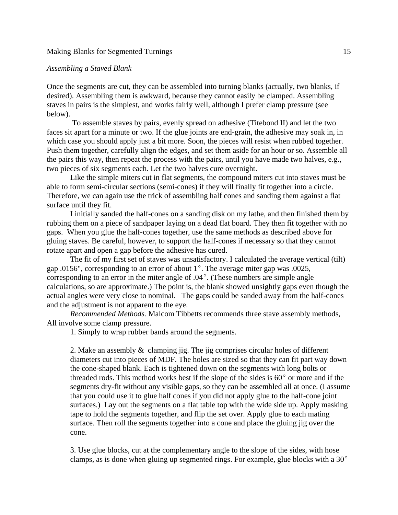#### *Assembling a Staved Blank*

Once the segments are cut, they can be assembled into turning blanks (actually, two blanks, if desired). Assembling them is awkward, because they cannot easily be clamped. Assembling staves in pairs is the simplest, and works fairly well, although I prefer clamp pressure (see below).

 To assemble staves by pairs, evenly spread on adhesive (Titebond II) and let the two faces sit apart for a minute or two. If the glue joints are end-grain, the adhesive may soak in, in which case you should apply just a bit more. Soon, the pieces will resist when rubbed together. Push them together, carefully align the edges, and set them aside for an hour or so. Assemble all the pairs this way, then repeat the process with the pairs, until you have made two halves, e.g., two pieces of six segments each. Let the two halves cure overnight.

Like the simple miters cut in flat segments, the compound miters cut into staves must be able to form semi-circular sections (semi-cones) if they will finally fit together into a circle. Therefore, we can again use the trick of assembling half cones and sanding them against a flat surface until they fit.

I initially sanded the half-cones on a sanding disk on my lathe, and then finished them by rubbing them on a piece of sandpaper laying on a dead flat board. They then fit together with no gaps. When you glue the half-cones together, use the same methods as described above for gluing staves. Be careful, however, to support the half-cones if necessary so that they cannot rotate apart and open a gap before the adhesive has cured.

The fit of my first set of staves was unsatisfactory. I calculated the average vertical (tilt) gap .0156", corresponding to an error of about  $1^{\circ}$ . The average miter gap was .0025, corresponding to an error in the miter angle of  $.04^{\circ}$ . (These numbers are simple angle calculations, so are approximate.) The point is, the blank showed unsightly gaps even though the actual angles were very close to nominal. The gaps could be sanded away from the half-cones and the adjustment is not apparent to the eye.

*Recommended Methods.* Malcom Tibbetts recommends three stave assembly methods, All involve some clamp pressure.

1. Simply to wrap rubber bands around the segments.

2. Make an assembly & clamping jig. The jig comprises circular holes of different diameters cut into pieces of MDF. The holes are sized so that they can fit part way down the cone-shaped blank. Each is tightened down on the segments with long bolts or threaded rods. This method works best if the slope of the sides is  $60^{\circ}$  or more and if the segments dry-fit without any visible gaps, so they can be assembled all at once. (I assume that you could use it to glue half cones if you did not apply glue to the half-cone joint surfaces.) Lay out the segments on a flat table top with the wide side up. Apply masking tape to hold the segments together, and flip the set over. Apply glue to each mating surface. Then roll the segments together into a cone and place the gluing jig over the cone.

3. Use glue blocks, cut at the complementary angle to the slope of the sides, with hose clamps, as is done when gluing up segmented rings. For example, glue blocks with a  $30^{\circ}$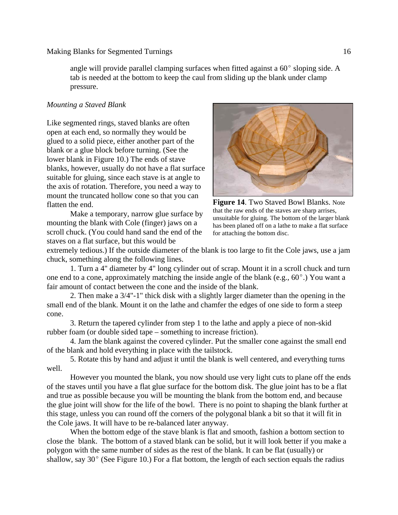angle will provide parallel clamping surfaces when fitted against a  $60^{\circ}$  sloping side. A tab is needed at the bottom to keep the caul from sliding up the blank under clamp pressure.

## *Mounting a Staved Blank*

Like segmented rings, staved blanks are often open at each end, so normally they would be glued to a solid piece, either another part of the blank or a glue block before turning. (See the lower blank in Figure 10.) The ends of stave blanks, however, usually do not have a flat surface suitable for gluing, since each stave is at angle to the axis of rotation. Therefore, you need a way to mount the truncated hollow cone so that you can flatten the end.

Make a temporary, narrow glue surface by mounting the blank with Cole (finger) jaws on a scroll chuck. (You could hand sand the end of the staves on a flat surface, but this would be



**Figure 14**. Two Staved Bowl Blanks. Note that the raw ends of the staves are sharp arrises, unsuitable for gluing. The bottom of the larger blank has been planed off on a lathe to make a flat surface for attaching the bottom disc.

extremely tedious.) If the outside diameter of the blank is too large to fit the Cole jaws, use a jam chuck, something along the following lines.

1. Turn a 4" diameter by 4" long cylinder out of scrap. Mount it in a scroll chuck and turn one end to a cone, approximately matching the inside angle of the blank (e.g.,  $60^{\circ}$ .) You want a fair amount of contact between the cone and the inside of the blank.

2. Then make a 3/4"-1" thick disk with a slightly larger diameter than the opening in the small end of the blank. Mount it on the lathe and chamfer the edges of one side to form a steep cone.

3. Return the tapered cylinder from step 1 to the lathe and apply a piece of non-skid rubber foam (or double sided tape – something to increase friction).

4. Jam the blank against the covered cylinder. Put the smaller cone against the small end of the blank and hold everything in place with the tailstock.

5. Rotate this by hand and adjust it until the blank is well centered, and everything turns well.

However you mounted the blank, you now should use very light cuts to plane off the ends of the staves until you have a flat glue surface for the bottom disk. The glue joint has to be a flat and true as possible because you will be mounting the blank from the bottom end, and because the glue joint will show for the life of the bowl. There is no point to shaping the blank further at this stage, unless you can round off the corners of the polygonal blank a bit so that it will fit in the Cole jaws. It will have to be re-balanced later anyway.

When the bottom edge of the stave blank is flat and smooth, fashion a bottom section to close the blank. The bottom of a staved blank can be solid, but it will look better if you make a polygon with the same number of sides as the rest of the blank. It can be flat (usually) or shallow, say  $30^{\circ}$  (See Figure 10.) For a flat bottom, the length of each section equals the radius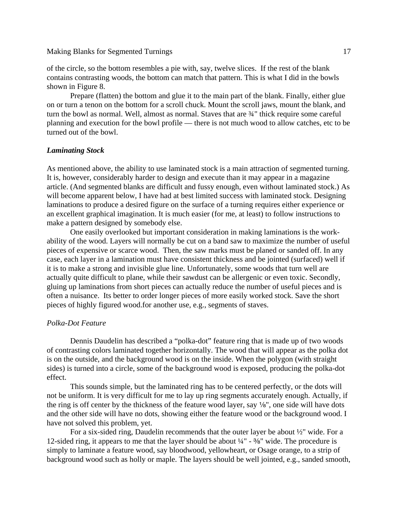of the circle, so the bottom resembles a pie with, say, twelve slices. If the rest of the blank contains contrasting woods, the bottom can match that pattern. This is what I did in the bowls shown in Figure 8.

Prepare (flatten) the bottom and glue it to the main part of the blank. Finally, either glue on or turn a tenon on the bottom for a scroll chuck. Mount the scroll jaws, mount the blank, and turn the bowl as normal. Well, almost as normal. Staves that are ¾" thick require some careful planning and execution for the bowl profile — there is not much wood to allow catches, etc to be turned out of the bowl.

### *Laminating Stock*

As mentioned above, the ability to use laminated stock is a main attraction of segmented turning. It is, however, considerably harder to design and execute than it may appear in a magazine article. (And segmented blanks are difficult and fussy enough, even without laminated stock.) As will become apparent below, I have had at best limited success with laminated stock. Designing laminations to produce a desired figure on the surface of a turning requires either experience or an excellent graphical imagination. It is much easier (for me, at least) to follow instructions to make a pattern designed by somebody else.

One easily overlooked but important consideration in making laminations is the workability of the wood. Layers will normally be cut on a band saw to maximize the number of useful pieces of expensive or scarce wood. Then, the saw marks must be planed or sanded off. In any case, each layer in a lamination must have consistent thickness and be jointed (surfaced) well if it is to make a strong and invisible glue line. Unfortunately, some woods that turn well are actually quite difficult to plane, while their sawdust can be allergenic or even toxic. Secondly, gluing up laminations from short pieces can actually reduce the number of useful pieces and is often a nuisance. Its better to order longer pieces of more easily worked stock. Save the short pieces of highly figured wood.for another use, e.g., segments of staves.

#### *Polka-Dot Feature*

Dennis Daudelin has described a "polka-dot" feature ring that is made up of two woods of contrasting colors laminated together horizontally. The wood that will appear as the polka dot is on the outside, and the background wood is on the inside. When the polygon (with straight sides) is turned into a circle, some of the background wood is exposed, producing the polka-dot effect.

This sounds simple, but the laminated ring has to be centered perfectly, or the dots will not be uniform. It is very difficult for me to lay up ring segments accurately enough. Actually, if the ring is off center by the thickness of the feature wood layer, say  $\frac{1}{8}$ , one side will have dots and the other side will have no dots, showing either the feature wood or the background wood. I have not solved this problem, yet.

For a six-sided ring, Daudelin recommends that the outer layer be about ½" wide. For a 12-sided ring, it appears to me that the layer should be about  $\frac{1}{4}$ " -  $\frac{3}{8}$ " wide. The procedure is simply to laminate a feature wood, say bloodwood, yellowheart, or Osage orange, to a strip of background wood such as holly or maple. The layers should be well jointed, e.g., sanded smooth,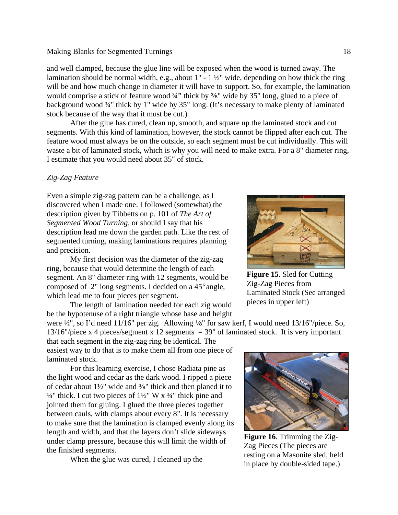and well clamped, because the glue line will be exposed when the wood is turned away. The lamination should be normal width, e.g., about 1" - 1 ½" wide, depending on how thick the ring will be and how much change in diameter it will have to support. So, for example, the lamination would comprise a stick of feature wood  $\frac{3}{4}$ " thick by  $\frac{3}{8}$ " wide by 35" long, glued to a piece of background wood ¾" thick by 1" wide by 35" long. (It's necessary to make plenty of laminated stock because of the way that it must be cut.)

After the glue has cured, clean up, smooth, and square up the laminated stock and cut segments. With this kind of lamination, however, the stock cannot be flipped after each cut. The feature wood must always be on the outside, so each segment must be cut individually. This will waste a bit of laminated stock, which is why you will need to make extra. For a 8" diameter ring, I estimate that you would need about 35" of stock.

### *Zig-Zag Feature*

Even a simple zig-zag pattern can be a challenge, as I discovered when I made one. I followed (somewhat) the description given by Tibbetts on p. 101 of *The Art of Segmented Wood Turning,* or should I say that his description lead me down the garden path. Like the rest of segmented turning, making laminations requires planning and precision.

My first decision was the diameter of the zig-zag ring, because that would determine the length of each segment. An 8" diameter ring with 12 segments, would be composed of  $2$ " long segments. I decided on a 45 $^{\circ}$  angle, which lead me to four pieces per segment.

The length of lamination needed for each zig would be the hypotenuse of a right triangle whose base and height

were  $\frac{1}{2}$ , so I'd need 11/16" per zig. Allowing 1/8" for saw kerf, I would need 13/16"/piece. So, 13/16"/piece x 4 pieces/segment x 12 segments = 39" of laminated stock. It is very important

that each segment in the zig-zag ring be identical. The easiest way to do that is to make them all from one piece of laminated stock.

For this learning exercise, I chose Radiata pine as the light wood and cedar as the dark wood. I ripped a piece of cedar about  $1\frac{1}{2}$ " wide and %" thick and then planed it to  $\frac{1}{4}$ " thick. I cut two pieces of  $\frac{1}{2}$ " W x  $\frac{3}{4}$ " thick pine and jointed them for gluing. I glued the three pieces together between cauls, with clamps about every 8". It is necessary to make sure that the lamination is clamped evenly along its length and width, and that the layers don't slide sideways under clamp pressure, because this will limit the width of the finished segments.

When the glue was cured, I cleaned up the

**Figure 15**. Sled for Cutting

Zig-Zag Pieces from Laminated Stock (See arranged pieces in upper left)



**Figure 16**. Trimming the Zig-Zag Pieces (The pieces are resting on a Masonite sled, held in place by double-sided tape.)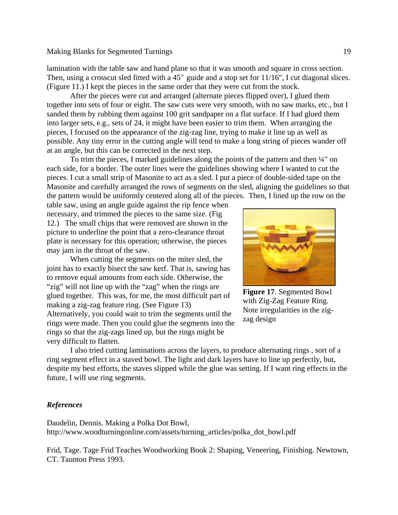lamination with the table saw and hand plane so that it was smooth and square in cross section. Then, using a crosscut sled fitted with a  $45^{\circ}$  guide and a stop set for 11/16", I cut diagonal slices. (Figure 11.) I kept the pieces in the same order that they were cut from the stock.

After the pieces were cut and arranged (alternate pieces flipped over), I glued them together into sets of four or eight. The saw cuts were very smooth, with no saw marks, etc., but I sanded them by rubbing them against 100 grit sandpaper on a flat surface. If I had glued them into larger sets, e.g., sets of 24, it might have been easier to trim them. When arranging the pieces, I focused on the appearance of the zig-zag line, trying to make it line up as well as possible. Any tiny error in the cutting angle will tend to make a long string of pieces wander off at an angle, but this can be corrected in the next step.

To trim the pieces, I marked guidelines along the points of the pattern and then ¼" on each side, for a border. The outer lines were the guidelines showing where I wanted to cut the pieces. I cut a small strip of Masonite to act as a sled. I put a piece of double-sided tape on the Masonite and carefully arranged the rows of segments on the sled, aligning the guidelines so that the pattern would be uniformly centered along all of the pieces. Then, I lined up the row on the

table saw, using an angle guide against the rip fence when necessary, and trimmed the pieces to the same size. (Fig 12.) The small chips that were removed are shown in the picture to underline the point that a zero-clearance throat plate is necessary for this operation; otherwise, the pieces may jam in the throat of the saw.

When cutting the segments on the miter sled, the joint has to exactly bisect the saw kerf. That is, sawing has to remove equal amounts from each side. Otherwise, the "zig" will not line up with the "zag" when the rings are glued together. This was, for me, the most difficult part of making a zig-zag feature ring. (See Figure 13) Alternatively, you could wait to trim the segments until the rings were made. Then you could glue the segments into the rings so that the zig-zags lined up, but the rings might be very difficult to flatten.



**Figure 17**. Segmented Bowl with Zig-Zag Feature Ring. Note irregularities in the zigzag design

I also tried cutting laminations across the layers, to produce alternating rings , sort of a ring segment effect in a staved bowl. The light and dark layers have to line up perfectly, but, despite my best efforts, the staves slipped while the glue was setting. If I want ring effects in the future, I will use ring segments.

### *References*

Daudelin, Dennis. Making a Polka Dot Bowl, http://www.woodturningonline.com/assets/turning\_articles/polka\_dot\_bowl.pdf

Frid, Tage. Tage Frid Teaches Woodworking Book 2: Shaping, Veneering, Finishing. Newtown, CT. Taunton Press 1993.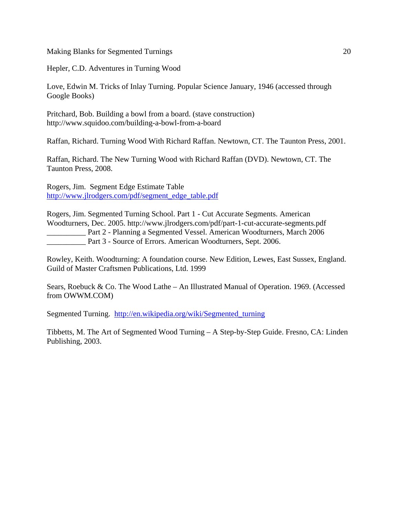Hepler, C.D. Adventures in Turning Wood

Love, Edwin M. Tricks of Inlay Turning. Popular Science January, 1946 (accessed through Google Books)

Pritchard, Bob. Building a bowl from a board. (stave construction) http://www.squidoo.com/building-a-bowl-from-a-board

Raffan, Richard. Turning Wood With Richard Raffan. Newtown, CT. The Taunton Press, 2001.

Raffan, Richard. The New Turning Wood with Richard Raffan (DVD). Newtown, CT. The Taunton Press, 2008.

Rogers, Jim. Segment Edge Estimate Table http://www.jlrodgers.com/pdf/segment\_edge\_table.pdf

Rogers, Jim. Segmented Turning School. Part 1 - Cut Accurate Segments. American Woodturners, Dec. 2005. http://www.jlrodgers.com/pdf/part-1-cut-accurate-segments.pdf \_\_\_\_\_\_\_\_\_\_ Part 2 - Planning a Segmented Vessel. American Woodturners, March 2006 Part 3 - Source of Errors. American Woodturners, Sept. 2006.

Rowley, Keith. Woodturning: A foundation course. New Edition, Lewes, East Sussex, England. Guild of Master Craftsmen Publications, Ltd. 1999

Sears, Roebuck & Co. The Wood Lathe – An Illustrated Manual of Operation. 1969. (Accessed from OWWM.COM)

Segmented Turning. http://en.wikipedia.org/wiki/Segmented\_turning

Tibbetts, M. The Art of Segmented Wood Turning – A Step-by-Step Guide. Fresno, CA: Linden Publishing, 2003.